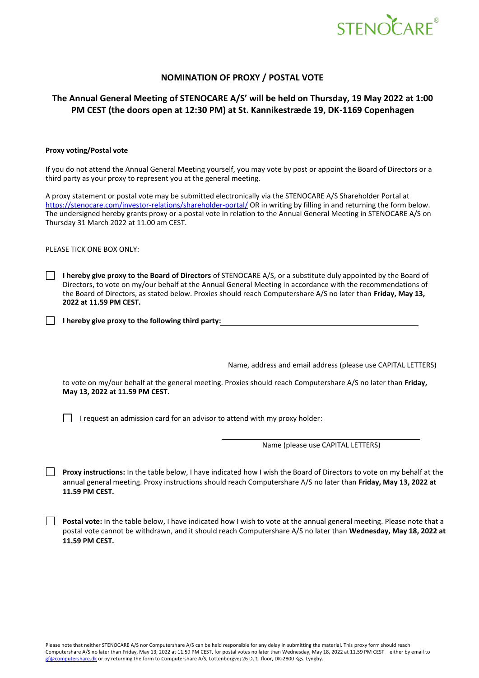

## **NOMINATION OF PROXY / POSTAL VOTE**

## **The Annual General Meeting of STENOCARE A/S' will be held on Thursday, 19 May 2022 at 1:00 PM CEST (the doors open at 12:30 PM) at St. Kannikestræde 19, DK-1169 Copenhagen**

## **Proxy voting/Postal vote**

If you do not attend the Annual General Meeting yourself, you may vote by post or appoint the Board of Directors or a third party as your proxy to represent you at the general meeting.

A proxy statement or postal vote may be submitted electronically via the STENOCARE A/S Shareholder Portal at <https://stenocare.com/investor-relations/shareholder-portal/> OR in writing by filling in and returning the form below. The undersigned hereby grants proxy or a postal vote in relation to the Annual General Meeting in STENOCARE A/S on Thursday 31 March 2022 at 11.00 am CEST.

PLEASE TICK ONE BOX ONLY:

**I hereby give proxy to the Board of Directors** of STENOCARE A/S, or a substitute duly appointed by the Board of Directors, to vote on my/our behalf at the Annual General Meeting in accordance with the recommendations of the Board of Directors, as stated below. Proxies should reach Computershare A/S no later than **Friday, May 13, 2022 at 11.59 PM CEST.**

**I hereby give proxy to the following third party:**

Name, address and email address (please use CAPITAL LETTERS)

to vote on my/our behalf at the general meeting. Proxies should reach Computershare A/S no later than **Friday, May 13, 2022 at 11.59 PM CEST.**

 $\Box$  I request an admission card for an advisor to attend with my proxy holder:

Name (please use CAPITAL LETTERS)

**Proxy instructions:** In the table below, I have indicated how I wish the Board of Directors to vote on my behalf at the annual general meeting. Proxy instructions should reach Computershare A/S no later than **Friday, May 13, 2022 at 11.59 PM CEST.**

**Postal vote:** In the table below, I have indicated how I wish to vote at the annual general meeting. Please note that a postal vote cannot be withdrawn, and it should reach Computershare A/S no later than **Wednesday, May 18, 2022 at 11.59 PM CEST.**